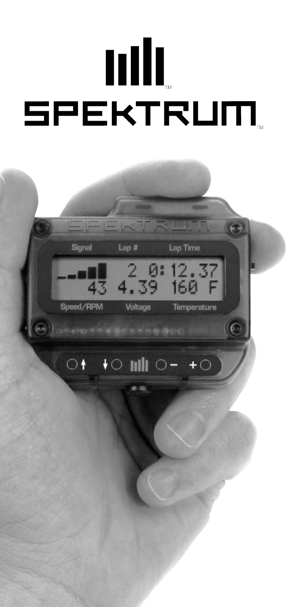# **TILL SPEKTRUM**

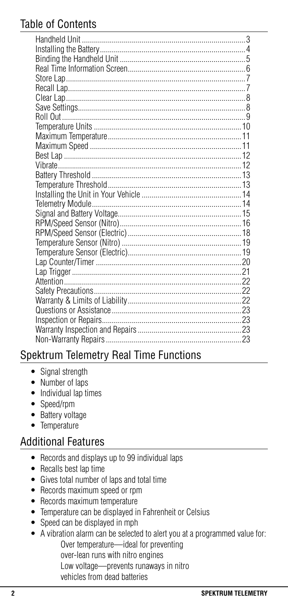#### Table of Contents

#### Spektrum Telemetry Real Time Functions

- Signal strength
- Number of laps
- Individual lap times
- Speed/rpm
- Battery voltage
- Temperature

#### Additional Features

- Records and displays up to 99 individual laps
- Recalls best lap time
- Gives total number of laps and total time
- Records maximum speed or rpm
- Records maximum temperature
- Temperature can be displayed in Fahrenheit or Celsius
- Speed can be displayed in mph
- A vibration alarm can be selected to alert you at a programmed value for: Over temperature—ideal for preventing over-lean runs with nitro engines Low voltage—prevents runaways in nitro vehicles from dead batteries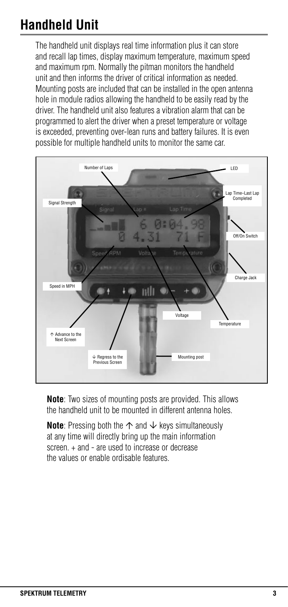# <span id="page-2-0"></span>**Handheld Unit**

The handheld unit displays real time information plus it can store and recall lap times, display maximum temperature, maximum speed and maximum rpm. Normally the pitman monitors the handheld unit and then informs the driver of critical information as needed. Mounting posts are included that can be installed in the open antenna hole in module radios allowing the handheld to be easily read by the driver. The handheld unit also features a vibration alarm that can be programmed to alert the driver when a preset temperature or voltage is exceeded, preventing over-lean runs and battery failures. It is even possible for multiple handheld units to monitor the same car.



**Note**: Two sizes of mounting posts are provided. This allows the handheld unit to be mounted in different antenna holes.

**Note**: Pressing both the  $\uparrow$  and  $\downarrow$  keys simultaneously at any time will directly bring up the main information screen. + and - are used to increase or decrease the values or enable ordisable features.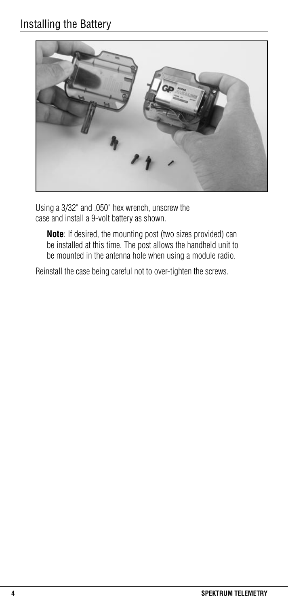#### <span id="page-3-0"></span>Installing the Battery



Using a 3/32" and .050" hex wrench, unscrew the case and install a 9-volt battery as shown.

**Note**: If desired, the mounting post (two sizes provided) can be installed at this time. The post allows the handheld unit to be mounted in the antenna hole when using a module radio.

Reinstall the case being careful not to over-tighten the screws.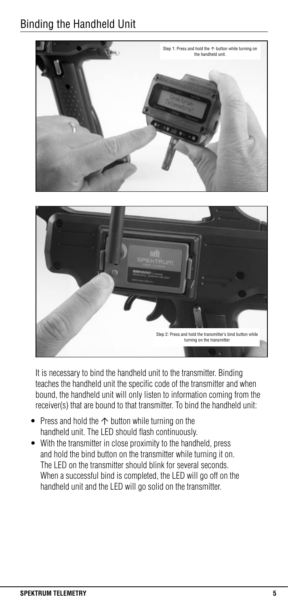#### <span id="page-4-0"></span>Binding the Handheld Unit



It is necessary to bind the handheld unit to the transmitter. Binding teaches the handheld unit the specific code of the transmitter and when bound, the handheld unit will only listen to information coming from the receiver(s) that are bound to that transmitter. To bind the handheld unit:

- Press and hold the  $\uparrow$  button while turning on the handheld unit. The LED should flash continuously.
- With the transmitter in close proximity to the handheld, press and hold the bind button on the transmitter while turning it on. The LED on the transmitter should blink for several seconds. When a successful bind is completed, the LED will go off on the handheld unit and the LED will go solid on the transmitter.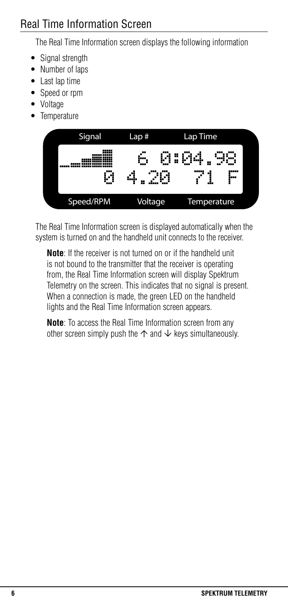#### <span id="page-5-0"></span>**Real Time Information Screen**

The Real Time Information screen displays the following information

- Signal strength
- Number of laps
- Last lap time
- Speed or rpm
- Voltage
- Temperature



The Real Time Information screen is displayed automatically when the system is turned on and the handheld unit connects to the receiver.

**Note:** If the receiver is not turned on or if the handheld unit is not bound to the transmitter that the receiver is operating from, the Real Time Information screen will display Spektrum Telemetry on the screen. This indicates that no signal is present. When a connection is made, the green LED on the handheld lights and the Real Time Information screen appears.

**Note:** To access the Real Time Information screen from any other screen simply push the  $\uparrow$  and  $\downarrow$  keys simultaneously.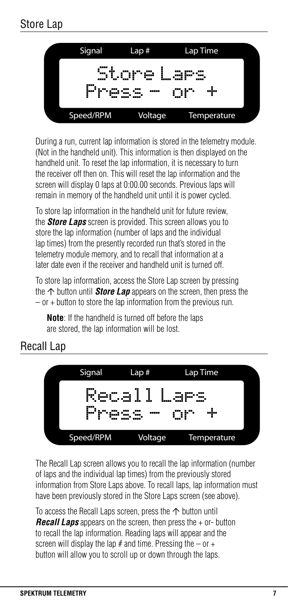#### <span id="page-6-0"></span>Store Lap

| Signal                      | Lap #      | Lap Time |  |  |
|-----------------------------|------------|----------|--|--|
|                             | Store Lars |          |  |  |
| Press.<br>⊹<br>CH 2<br>---- |            |          |  |  |
|                             |            |          |  |  |

During a run, current lap information is stored in the telemetry module. (Not in the handheld unit). This information is then displayed on the handheld unit. To reset the lap information, it is necessary to turn the receiver off then on. This will reset the lap information and the screen will display 0 laps at 0:00.00 seconds. Previous laps will remain in memory of the handheld unit until it is power cycled.

To store lap information in the handheld unit for future review, the **Store Laps** screen is provided. This screen allows you to store the lap information (number of laps and the individual lap times) from the presently recorded run that's stored in the telemetry module memory, and to recall that information at a later date even if the receiver and handheld unit is turned off.

To store lap information, access the Store Lap screen by pressing the button until **Store Lap** appears on the screen, then press the – or + button to store the lap information from the previous run.

**Note**: If the handheld is turned off before the laps are stored, the lap information will be lost.

#### Recall Lap

| Signal Lap #      |                 | Lap Time    |  |
|-------------------|-----------------|-------------|--|
| <u>Press</u>      | Recall Lars<br> | ÷<br>ОĐ     |  |
| Speed/RPM Voltage |                 | Temperature |  |

The Recall Lap screen allows you to recall the lap information (number of laps and the individual lap times) from the previously stored information from Store Laps above. To recall laps, lap information must have been previously stored in the Store Laps screen (see above).

To access the Recall Laps screen, press the  $\uparrow$  button until **Recall Laps** appears on the screen, then press the + or- button to recall the lap information. Reading laps will appear and the screen will display the lap  $#$  and time. Pressing the – or  $+$ button will allow you to scroll up or down through the laps.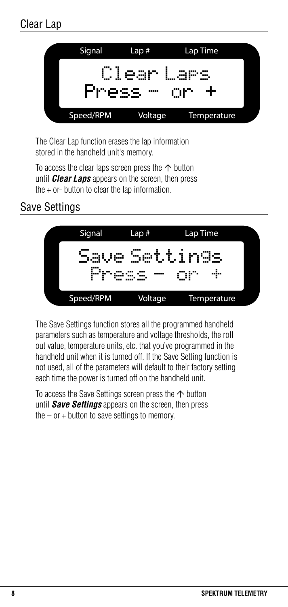#### <span id="page-7-0"></span>Clear Lap



The Clear Lap function erases the lap information stored in the handheld unit's memory.

To access the clear laps screen press the  $\uparrow$  button until **Clear Laps** appears on the screen, then press the  $+$  or- button to clear the lap information.

#### Save Settings



The Save Settings function stores all the programmed handheld parameters such as temperature and voltage thresholds, the roll out value, temperature units, etc. that you've programmed in the handheld unit when it is turned off. If the Save Setting function is not used, all of the parameters will default to their factory setting each time the power is turned off on the handheld unit.

To access the Save Settings screen press the  $\uparrow$  button until **Save Settings** appears on the screen, then press the  $-$  or  $+$  button to save settings to memory.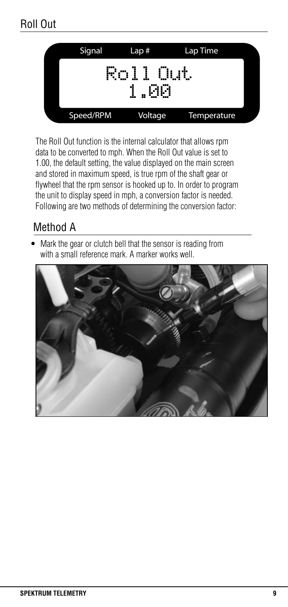<span id="page-8-0"></span>

The Roll Out function is the internal calculator that allows rpm data to be converted to mph. When the Roll Out value is set to 1.00, the default setting, the value displayed on the main screen and stored in maximum speed, is true rpm of the shaft gear or flywheel that the rpm sensor is hooked up to. In order to program the unit to display speed in mph, a conversion factor is needed. Following are two methods of determining the conversion factor:

#### Method A

• Mark the gear or clutch bell that the sensor is reading from with a small reference mark. A marker works well.

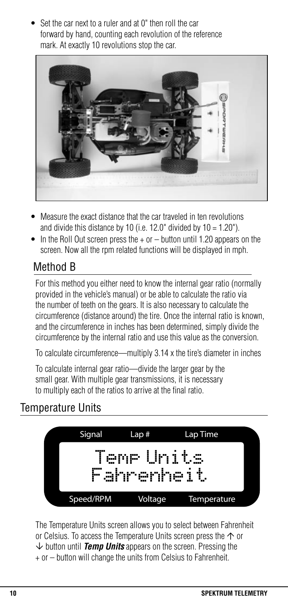<span id="page-9-0"></span>• Set the car next to a ruler and at 0" then roll the car forward by hand, counting each revolution of the reference mark. At exactly 10 revolutions stop the car.



- Measure the exact distance that the car traveled in ten revolutions and divide this distance by 10 (i.e. 12.0" divided by  $10 = 1.20$ ").
- In the Roll Out screen press the  $+$  or  $-$  button until 1.20 appears on the screen. Now all the rpm related functions will be displayed in mph.

#### Method B

For this method you either need to know the internal gear ratio (normally provided in the vehicle's manual) or be able to calculate the ratio via the number of teeth on the gears. It is also necessary to calculate the circumference (distance around) the tire. Once the internal ratio is known, and the circumference in inches has been determined, simply divide the circumference by the internal ratio and use this value as the conversion.

To calculate circumference—multiply 3.14 x the tire's diameter in inches

To calculate internal gear ratio—divide the larger gear by the small gear. With multiple gear transmissions, it is necessary to multiply each of the ratios to arrive at the final ratio.

#### Temperature Units



The Temperature Units screen allows you to select between Fahrenheit or Celsius. To access the Temperature Units screen press the  $\uparrow$  or  $\psi$  button until **Temp Units** appears on the screen. Pressing the + or – button will change the units from Celsius to Fahrenheit.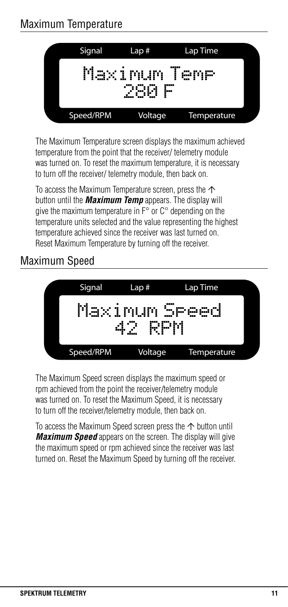#### <span id="page-10-0"></span>Maximum Temperature

|                   | Signal Lap #               | Lap Time    |  |
|-------------------|----------------------------|-------------|--|
|                   | Maximum Temp<br>F<br>280 I |             |  |
| Speed/RPM Voltage |                            | Temperature |  |

The Maximum Temperature screen displays the maximum achieved temperature from the point that the receiver/ telemetry module was turned on. To reset the maximum temperature, it is necessary to turn off the receiver/ telemetry module, then back on.

To access the Maximum Temperature screen, press the  $\uparrow$ button until the **Maximum Temp** appears. The display will give the maximum temperature in  $F^{\circ}$  or  $C^{\circ}$  depending on the temperature units selected and the value representing the highest temperature achieved since the receiver was last turned on. Reset Maximum Temperature by turning off the receiver.

#### Maximum Speed



The Maximum Speed screen displays the maximum speed or rpm achieved from the point the receiver/telemetry module was turned on. To reset the Maximum Speed, it is necessary to turn off the receiver/telemetry module, then back on.

To access the Maximum Speed screen press the  $\uparrow$  button until **Maximum Speed** appears on the screen. The display will give the maximum speed or rpm achieved since the receiver was last turned on. Reset the Maximum Speed by turning off the receiver.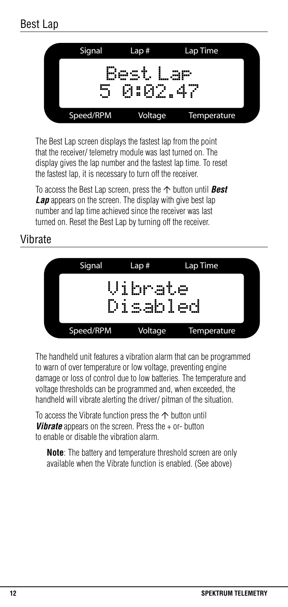<span id="page-11-0"></span>

The Best Lap screen displays the fastest lap from the point that the receiver/ telemetry module was last turned on. The display gives the lap number and the fastest lap time. To reset the fastest lap, it is necessary to turn off the receiver.

To access the Best Lap screen, press the button until **Best Lap** appears on the screen. The display with give best lap number and lap time achieved since the receiver was last turned on. Reset the Best Lap by turning off the receiver.

#### Vibrate



The handheld unit features a vibration alarm that can be programmed to warn of over temperature or low voltage, preventing engine damage or loss of control due to low batteries. The temperature and voltage thresholds can be programmed and, when exceeded, the handheld will vibrate alerting the driver/ pitman of the situation.

To access the Vibrate function press the  $\uparrow$  button until **Vibrate** appears on the screen. Press the + or- button to enable or disable the vibration alarm.

**Note**: The battery and temperature threshold screen are only available when the Vibrate function is enabled. (See above)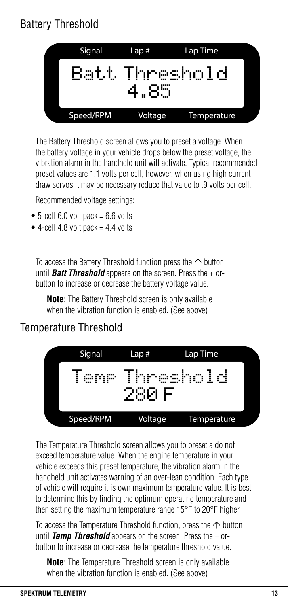#### <span id="page-12-0"></span>Battery Threshold

|                   | Signal Lap # | Lap Time       |  |
|-------------------|--------------|----------------|--|
|                   | 4.85         | Batt Threshold |  |
| Speed/RPM Voltage |              | Temperature    |  |

The Battery Threshold screen allows you to preset a voltage. When the battery voltage in your vehicle drops below the preset voltage, the vibration alarm in the handheld unit will activate. Typical recommended preset values are 1.1 volts per cell, however, when using high current draw servos it may be necessary reduce that value to .9 volts per cell.

Recommended voltage settings:

- $\bullet$  5-cell 6.0 volt pack = 6.6 volts
- $\bullet$  4-cell 4.8 volt pack = 4.4 volts

To access the Battery Threshold function press the  $\uparrow$  button until **Batt Threshold** appears on the screen. Press the + orbutton to increase or decrease the battery voltage value.

**Note**: The Battery Threshold screen is only available when the vibration function is enabled. (See above)

#### Temperature Threshold

| Signal    | Lap#    | Lap Time           |  |
|-----------|---------|--------------------|--|
| -----     |         | emp Threshold<br>F |  |
| Speed/RPM | Voltage | Temperature        |  |

The Temperature Threshold screen allows you to preset a do not exceed temperature value. When the engine temperature in your vehicle exceeds this preset temperature, the vibration alarm in the handheld unit activates warning of an over-lean condition. Each type of vehicle will require it is own maximum temperature value. It is best to determine this by finding the optimum operating temperature and then setting the maximum temperature range 15°F to 20°F higher.

To access the Temperature Threshold function, press the  $\uparrow$  button until **Temp Threshold** appears on the screen. Press the + orbutton to increase or decrease the temperature threshold value.

**Note**: The Temperature Threshold screen is only available when the vibration function is enabled. (See above)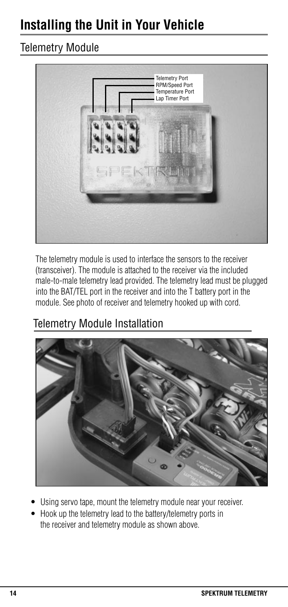# <span id="page-13-0"></span>**Installing the Unit in Your Vehicle**

#### Telemetry Module



The telemetry module is used to interface the sensors to the receiver (transceiver). The module is attached to the receiver via the included male-to-male telemetry lead provided. The telemetry lead must be plugged into the BAT/TEL port in the receiver and into the T battery port in the module. See photo of receiver and telemetry hooked up with cord.

#### Telemetry Module Installation



- Using servo tape, mount the telemetry module near your receiver.
- Hook up the telemetry lead to the battery/telemetry ports in the receiver and telemetry module as shown above.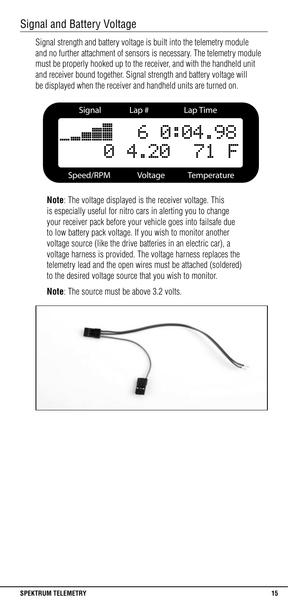#### <span id="page-14-0"></span>Signal and Battery Voltage

Signal strength and battery voltage is built into the telemetry module and no further attachment of sensors is necessary. The telemetry module must be properly hooked up to the receiver, and with the handheld unit and receiver bound together. Signal strength and battery voltage will be displayed when the receiver and handheld units are turned on.



Note: The voltage displayed is the receiver voltage. This is especially useful for nitro cars in alerting you to change vour receiver pack before vour vehicle goes into failsafe due to low battery pack voltage. If you wish to monitor another voltage source (like the drive batteries in an electric car), a voltage harness is provided. The voltage harness replaces the telemetry lead and the open wires must be attached (soldered) to the desired voltage source that you wish to monitor.

**Note:** The source must be above 3.2 volts.

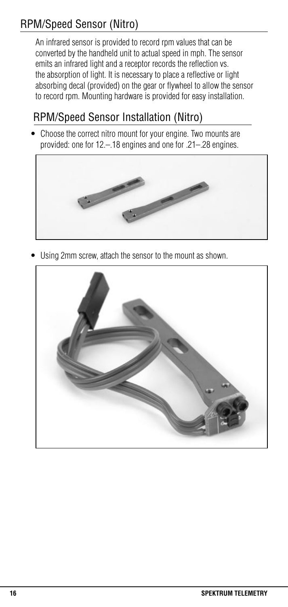#### <span id="page-15-0"></span>RPM/Speed Sensor (Nitro)

An infrared sensor is provided to record rpm values that can be converted by the handheld unit to actual speed in mph. The sensor emits an infrared light and a receptor records the reflection vs. the absorption of light. It is necessary to place a reflective or light absorbing decal (provided) on the gear or flywheel to allow the sensor to record rpm. Mounting hardware is provided for easy installation.

#### RPM/Speed Sensor Installation (Nitro)

• Choose the correct nitro mount for your engine. Two mounts are provided: one for 12.–.18 engines and one for .21–.28 engines.



• Using 2mm screw, attach the sensor to the mount as shown.

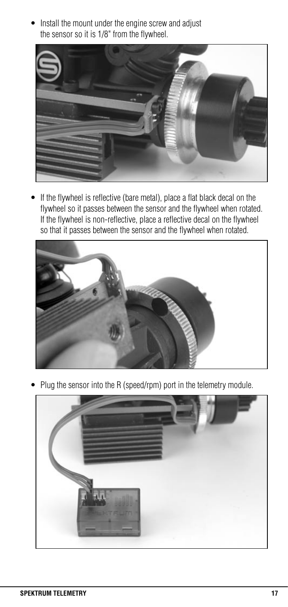• Install the mount under the engine screw and adjust the sensor so it is 1/8" from the flywheel.



• If the flywheel is reflective (bare metal), place a flat black decal on the flywheel so it passes between the sensor and the flywheel when rotated. If the flywheel is non-reflective, place a reflective decal on the flywheel so that it passes between the sensor and the flywheel when rotated.



• Plug the sensor into the R (speed/rpm) port in the telemetry module.

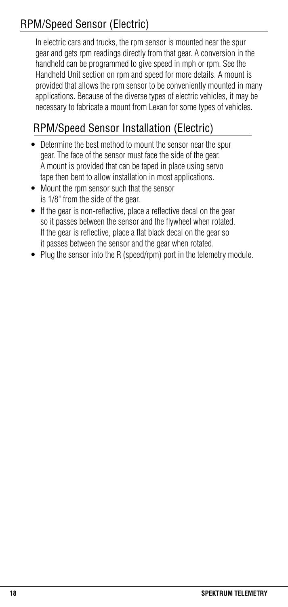#### <span id="page-17-0"></span>RPM/Speed Sensor (Electric)

In electric cars and trucks, the rpm sensor is mounted near the spur gear and gets rpm readings directly from that gear. A conversion in the handheld can be programmed to give speed in mph or rpm. See the Handheld Unit section on rpm and speed for more details. A mount is provided that allows the rpm sensor to be conveniently mounted in many applications. Because of the diverse types of electric vehicles, it may be necessary to fabricate a mount from Lexan for some types of vehicles.

#### RPM/Speed Sensor Installation (Electric)

- Determine the best method to mount the sensor near the spur gear. The face of the sensor must face the side of the gear. A mount is provided that can be taped in place using servo tape then bent to allow installation in most applications.
- Mount the rpm sensor such that the sensor is 1/8" from the side of the gear.
- If the gear is non-reflective, place a reflective decal on the gear so it passes between the sensor and the flywheel when rotated. If the gear is reflective, place a flat black decal on the gear so it passes between the sensor and the gear when rotated.
- Plug the sensor into the R (speed/rpm) port in the telemetry module.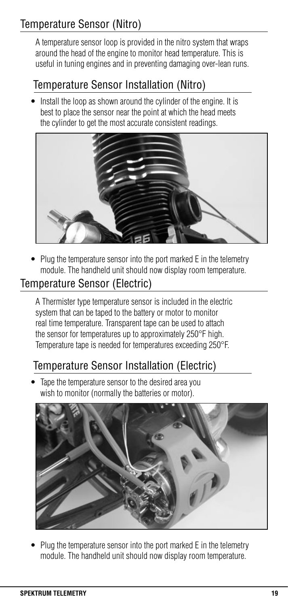#### <span id="page-18-0"></span>Temperature Sensor (Nitro)

A temperature sensor loop is provided in the nitro system that wraps around the head of the engine to monitor head temperature. This is useful in tuning engines and in preventing damaging over-lean runs.

#### Temperature Sensor Installation (Nitro)

• Install the loop as shown around the cylinder of the engine. It is best to place the sensor near the point at which the head meets the cylinder to get the most accurate consistent readings.



• Plug the temperature sensor into the port marked E in the telemetry module. The handheld unit should now display room temperature.

#### Temperature Sensor (Electric)

A Thermister type temperature sensor is included in the electric system that can be taped to the battery or motor to monitor real time temperature. Transparent tape can be used to attach the sensor for temperatures up to approximately 250°F high. Temperature tape is needed for temperatures exceeding 250°F.

#### Temperature Sensor Installation (Electric)

• Tape the temperature sensor to the desired area you wish to monitor (normally the batteries or motor).



• Plug the temperature sensor into the port marked E in the telemetry module. The handheld unit should now display room temperature.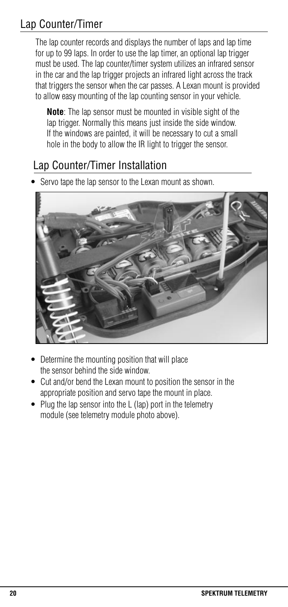#### <span id="page-19-0"></span>Lap Counter/Timer

The lap counter records and displays the number of laps and lap time for up to 99 laps. In order to use the lap timer, an optional lap trigger must be used. The lap counter/timer system utilizes an infrared sensor in the car and the lap trigger projects an infrared light across the track that triggers the sensor when the car passes. A Lexan mount is provided to allow easy mounting of the lap counting sensor in your vehicle.

**Note**: The lap sensor must be mounted in visible sight of the lap trigger. Normally this means just inside the side window. If the windows are painted, it will be necessary to cut a small hole in the body to allow the IR light to trigger the sensor.

#### Lap Counter/Timer Installation

• Servo tape the lap sensor to the Lexan mount as shown.



- Determine the mounting position that will place the sensor behind the side window.
- Cut and/or bend the Lexan mount to position the sensor in the appropriate position and servo tape the mount in place.
- Plug the lap sensor into the L (lap) port in the telemetry module (see telemetry module photo above).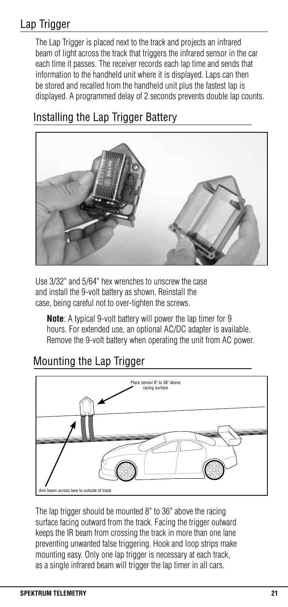#### <span id="page-20-0"></span>Lap Trigger

The Lap Trigger is placed next to the track and projects an infrared beam of light across the track that triggers the infrared sensor in the car each time it passes. The receiver records each lap time and sends that information to the handheld unit where it is displayed. Laps can then be stored and recalled from the handheld unit plus the fastest lap is displayed. A programmed delay of 2 seconds prevents double lap counts.

#### Installing the Lap Trigger Battery



Use 3/32" and 5/64" hex wrenches to unscrew the case and install the 9-volt battery as shown. Reinstall the case, being careful not to over-tighten the screws.

**Note**: A typical 9-volt battery will power the lap timer for 9 hours. For extended use, an optional AC/DC adapter is available. Remove the 9-volt battery when operating the unit from AC power.

#### Mounting the Lap Trigger



The lap trigger should be mounted 8" to 36" above the racing surface facing outward from the track. Facing the trigger outward keeps the IR beam from crossing the track in more than one lane preventing unwanted false triggering. Hook and loop strips make mounting easy. Only one lap trigger is necessary at each track, as a single infrared beam will trigger the lap timer in all cars.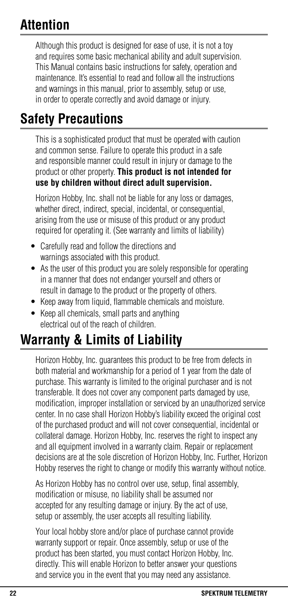# <span id="page-21-0"></span>**Attention**

Although this product is designed for ease of use, it is not a toy and requires some basic mechanical ability and adult supervision. This Manual contains basic instructions for safety, operation and maintenance. It's essential to read and follow all the instructions and warnings in this manual, prior to assembly, setup or use, in order to operate correctly and avoid damage or injury.

# **Safety Precautions**

This is a sophisticated product that must be operated with caution and common sense. Failure to operate this product in a safe and responsible manner could result in injury or damage to the product or other property. **This product is not intended for use by children without direct adult supervision.**

Horizon Hobby, Inc. shall not be liable for any loss or damages, whether direct, indirect, special, incidental, or consequential, arising from the use or misuse of this product or any product required for operating it. (See warranty and limits of liability)

- Carefully read and follow the directions and warnings associated with this product.
- As the user of this product you are solely responsible for operating in a manner that does not endanger yourself and others or result in damage to the product or the property of others.
- Keep away from liquid, flammable chemicals and moisture.
- Keep all chemicals, small parts and anything electrical out of the reach of children.

# **Warranty & Limits of Liability**

Horizon Hobby, Inc. guarantees this product to be free from defects in both material and workmanship for a period of 1 year from the date of purchase. This warranty is limited to the original purchaser and is not transferable. It does not cover any component parts damaged by use, modification, improper installation or serviced by an unauthorized service center. In no case shall Horizon Hobby's liability exceed the original cost of the purchased product and will not cover consequential, incidental or collateral damage. Horizon Hobby, Inc. reserves the right to inspect any and all equipment involved in a warranty claim. Repair or replacement decisions are at the sole discretion of Horizon Hobby, Inc. Further, Horizon Hobby reserves the right to change or modify this warranty without notice.

As Horizon Hobby has no control over use, setup, final assembly, modification or misuse, no liability shall be assumed nor accepted for any resulting damage or injury. By the act of use, setup or assembly, the user accepts all resulting liability.

Your local hobby store and/or place of purchase cannot provide warranty support or repair. Once assembly, setup or use of the product has been started, you must contact Horizon Hobby, Inc. directly. This will enable Horizon to better answer your questions and service you in the event that you may need any assistance.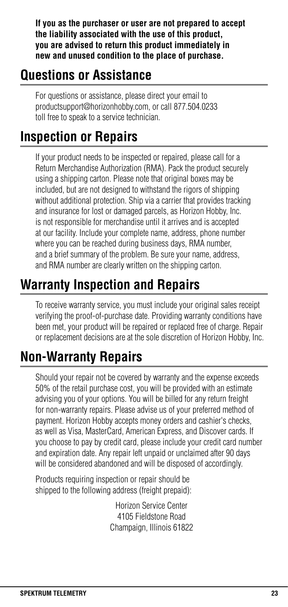<span id="page-22-0"></span>**If you as the purchaser or user are not prepared to accept the liability associated with the use of this product, you are advised to return this product immediately in new and unused condition to the place of purchase.**

### **Questions or Assistance**

For questions or assistance, please direct your email to productsupport@horizonhobby.com, or call 877.504.0233 toll free to speak to a service technician.

## **Inspection or Repairs**

If your product needs to be inspected or repaired, please call for a Return Merchandise Authorization (RMA). Pack the product securely using a shipping carton. Please note that original boxes may be included, but are not designed to withstand the rigors of shipping without additional protection. Ship via a carrier that provides tracking and insurance for lost or damaged parcels, as Horizon Hobby, Inc. is not responsible for merchandise until it arrives and is accepted at our facility. Include your complete name, address, phone number where you can be reached during business days, RMA number, and a brief summary of the problem. Be sure your name, address, and RMA number are clearly written on the shipping carton.

# **Warranty Inspection and Repairs**

To receive warranty service, you must include your original sales receipt verifying the proof-of-purchase date. Providing warranty conditions have been met, your product will be repaired or replaced free of charge. Repair or replacement decisions are at the sole discretion of Horizon Hobby, Inc.

# **Non-Warranty Repairs**

Should your repair not be covered by warranty and the expense exceeds 50% of the retail purchase cost, you will be provided with an estimate advising you of your options. You will be billed for any return freight for non-warranty repairs. Please advise us of your preferred method of payment. Horizon Hobby accepts money orders and cashier's checks, as well as Visa, MasterCard, American Express, and Discover cards. If you choose to pay by credit card, please include your credit card number and expiration date. Any repair left unpaid or unclaimed after 90 days will be considered abandoned and will be disposed of accordingly.

Products requiring inspection or repair should be shipped to the following address (freight prepaid):

> Horizon Service Center 4105 Fieldstone Road Champaign, Illinois 61822